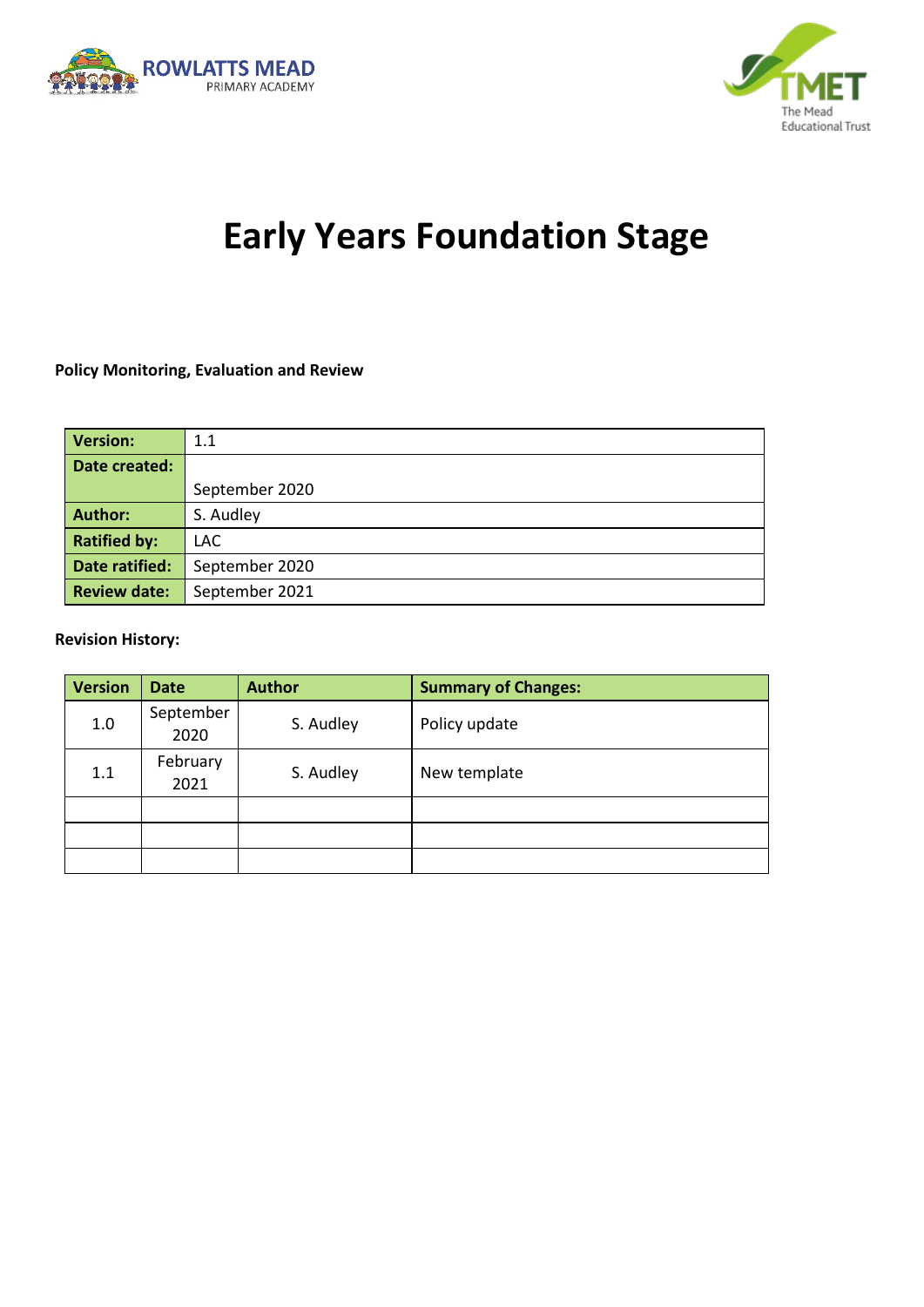



# **Early Years Foundation Stage**

#### **Policy Monitoring, Evaluation and Review**

| <b>Version:</b>     | 1.1            |  |  |
|---------------------|----------------|--|--|
| Date created:       |                |  |  |
|                     | September 2020 |  |  |
| <b>Author:</b>      | S. Audley      |  |  |
| <b>Ratified by:</b> | LAC.           |  |  |
| Date ratified:      | September 2020 |  |  |
| <b>Review date:</b> | September 2021 |  |  |

#### **Revision History:**

| <b>Version</b> | <b>Date</b>       | <b>Author</b> | <b>Summary of Changes:</b> |
|----------------|-------------------|---------------|----------------------------|
| 1.0            | September<br>2020 | S. Audley     | Policy update              |
| 1.1            | February<br>2021  | S. Audley     | New template               |
|                |                   |               |                            |
|                |                   |               |                            |
|                |                   |               |                            |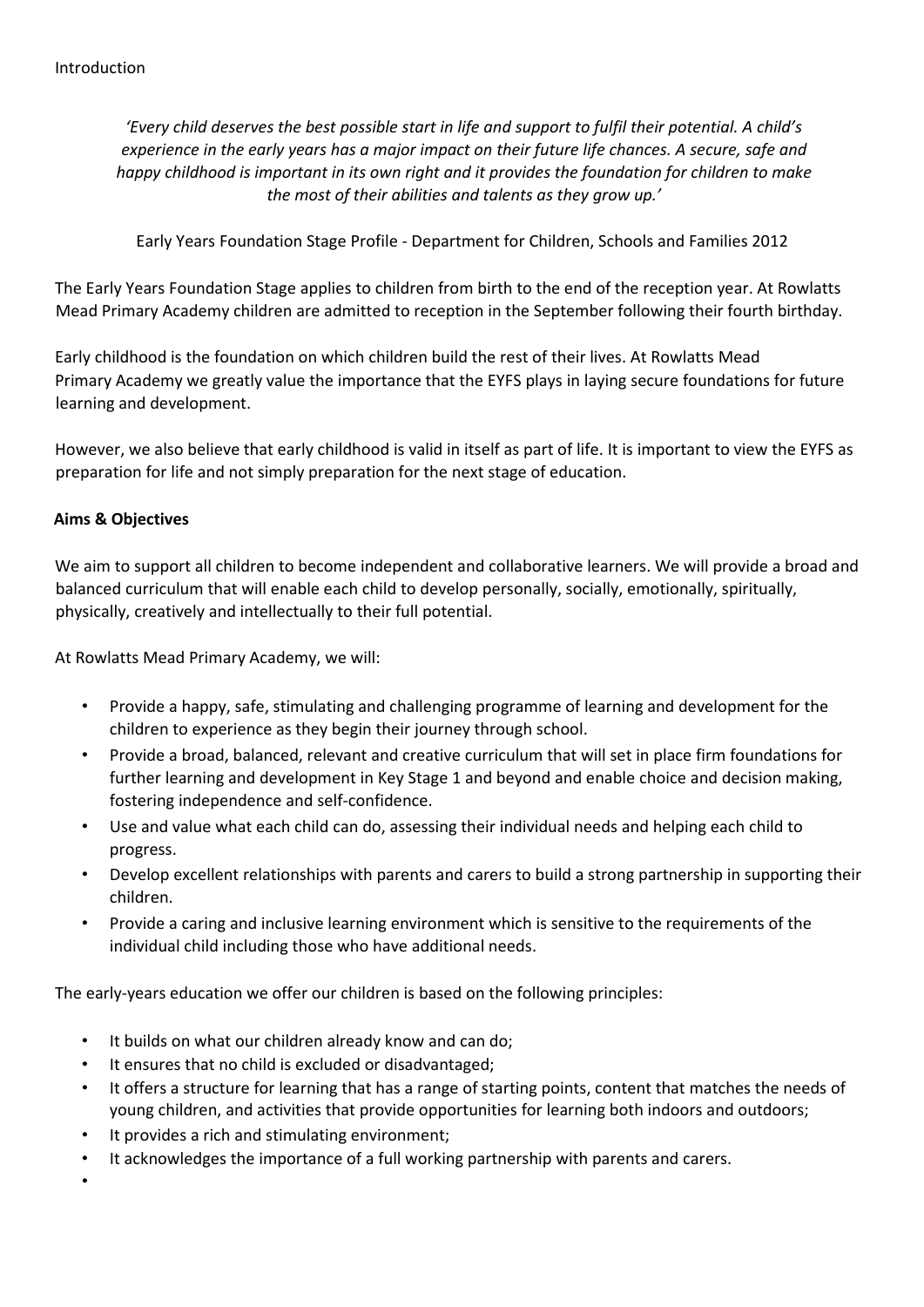*'Every child deserves the best possible start in life and support to fulfil their potential. A child's experience in the early years has a major impact on their future life chances. A secure, safe and happy childhood is important in its own right and it provides the foundation for children to make the most of their abilities and talents as they grow up.'* 

Early Years Foundation Stage Profile - Department for Children, Schools and Families 2012

The Early Years Foundation Stage applies to children from birth to the end of the reception year. At Rowlatts Mead Primary Academy children are admitted to reception in the September following their fourth birthday.

Early childhood is the foundation on which children build the rest of their lives. At Rowlatts Mead Primary Academy we greatly value the importance that the EYFS plays in laying secure foundations for future learning and development.

However, we also believe that early childhood is valid in itself as part of life. It is important to view the EYFS as preparation for life and not simply preparation for the next stage of education.

## **Aims & Objectives**

We aim to support all children to become independent and collaborative learners. We will provide a broad and balanced curriculum that will enable each child to develop personally, socially, emotionally, spiritually, physically, creatively and intellectually to their full potential.

At Rowlatts Mead Primary Academy, we will:

- Provide a happy, safe, stimulating and challenging programme of learning and development for the children to experience as they begin their journey through school.
- Provide a broad, balanced, relevant and creative curriculum that will set in place firm foundations for further learning and development in Key Stage 1 and beyond and enable choice and decision making, fostering independence and self-confidence.
- Use and value what each child can do, assessing their individual needs and helping each child to progress.
- Develop excellent relationships with parents and carers to build a strong partnership in supporting their children.
- Provide a caring and inclusive learning environment which is sensitive to the requirements of the individual child including those who have additional needs.

The early-years education we offer our children is based on the following principles:

- It builds on what our children already know and can do;
- It ensures that no child is excluded or disadvantaged;
- It offers a structure for learning that has a range of starting points, content that matches the needs of young children, and activities that provide opportunities for learning both indoors and outdoors;
- It provides a rich and stimulating environment:
- It acknowledges the importance of a full working partnership with parents and carers.

•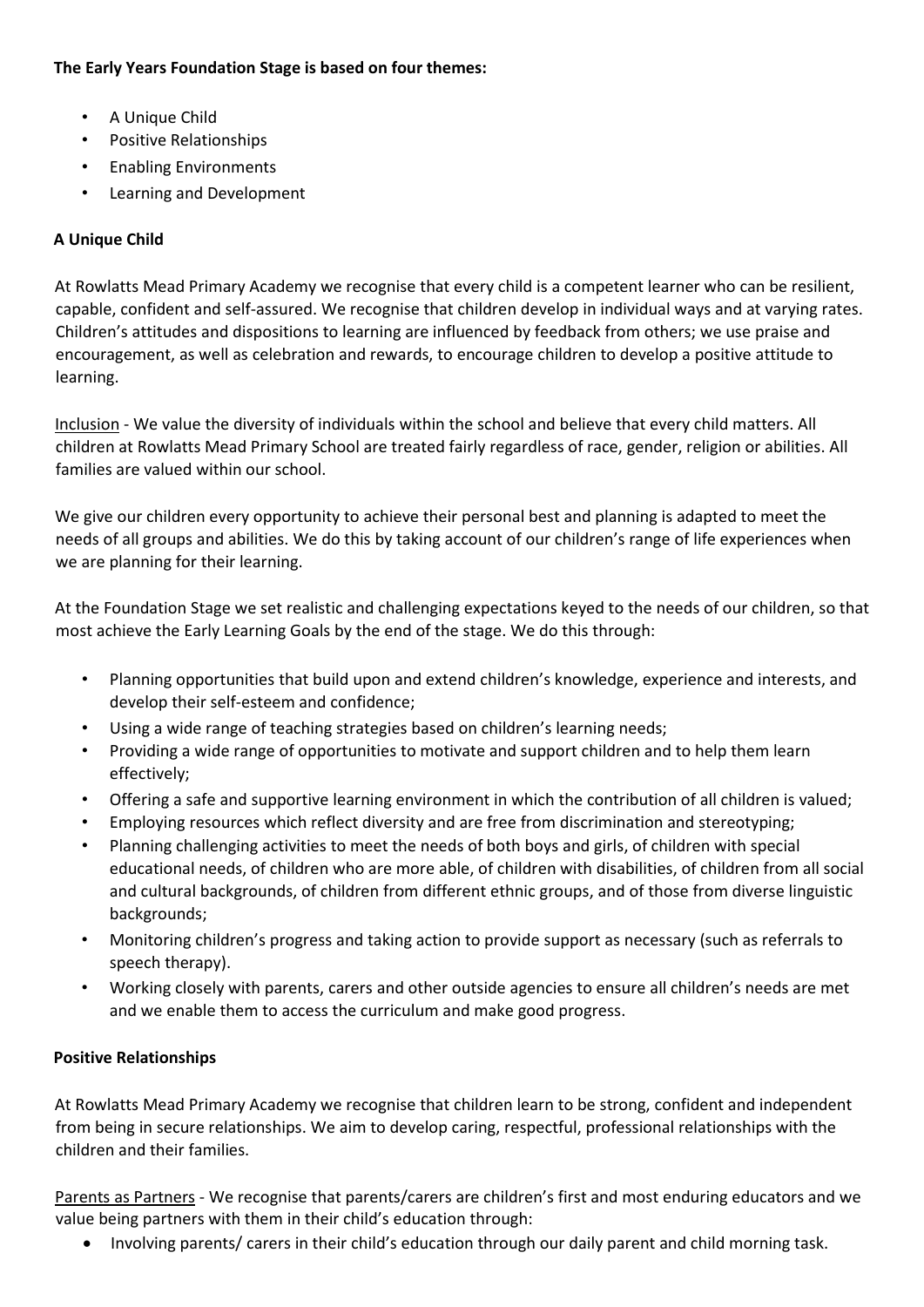## **The Early Years Foundation Stage is based on four themes:**

- A Unique Child
- Positive Relationships
- Enabling Environments
- Learning and Development

# **A Unique Child**

At Rowlatts Mead Primary Academy we recognise that every child is a competent learner who can be resilient, capable, confident and self-assured. We recognise that children develop in individual ways and at varying rates. Children's attitudes and dispositions to learning are influenced by feedback from others; we use praise and encouragement, as well as celebration and rewards, to encourage children to develop a positive attitude to learning.

Inclusion - We value the diversity of individuals within the school and believe that every child matters. All children at Rowlatts Mead Primary School are treated fairly regardless of race, gender, religion or abilities. All families are valued within our school.

We give our children every opportunity to achieve their personal best and planning is adapted to meet the needs of all groups and abilities. We do this by taking account of our children's range of life experiences when we are planning for their learning.

At the Foundation Stage we set realistic and challenging expectations keyed to the needs of our children, so that most achieve the Early Learning Goals by the end of the stage. We do this through:

- Planning opportunities that build upon and extend children's knowledge, experience and interests, and develop their self-esteem and confidence;
- Using a wide range of teaching strategies based on children's learning needs;
- Providing a wide range of opportunities to motivate and support children and to help them learn effectively;
- Offering a safe and supportive learning environment in which the contribution of all children is valued;
- Employing resources which reflect diversity and are free from discrimination and stereotyping;
- Planning challenging activities to meet the needs of both boys and girls, of children with special educational needs, of children who are more able, of children with disabilities, of children from all social and cultural backgrounds, of children from different ethnic groups, and of those from diverse linguistic backgrounds;
- Monitoring children's progress and taking action to provide support as necessary (such as referrals to speech therapy).
- Working closely with parents, carers and other outside agencies to ensure all children's needs are met and we enable them to access the curriculum and make good progress.

# **Positive Relationships**

At Rowlatts Mead Primary Academy we recognise that children learn to be strong, confident and independent from being in secure relationships. We aim to develop caring, respectful, professional relationships with the children and their families.

Parents as Partners - We recognise that parents/carers are children's first and most enduring educators and we value being partners with them in their child's education through:

• Involving parents/ carers in their child's education through our daily parent and child morning task.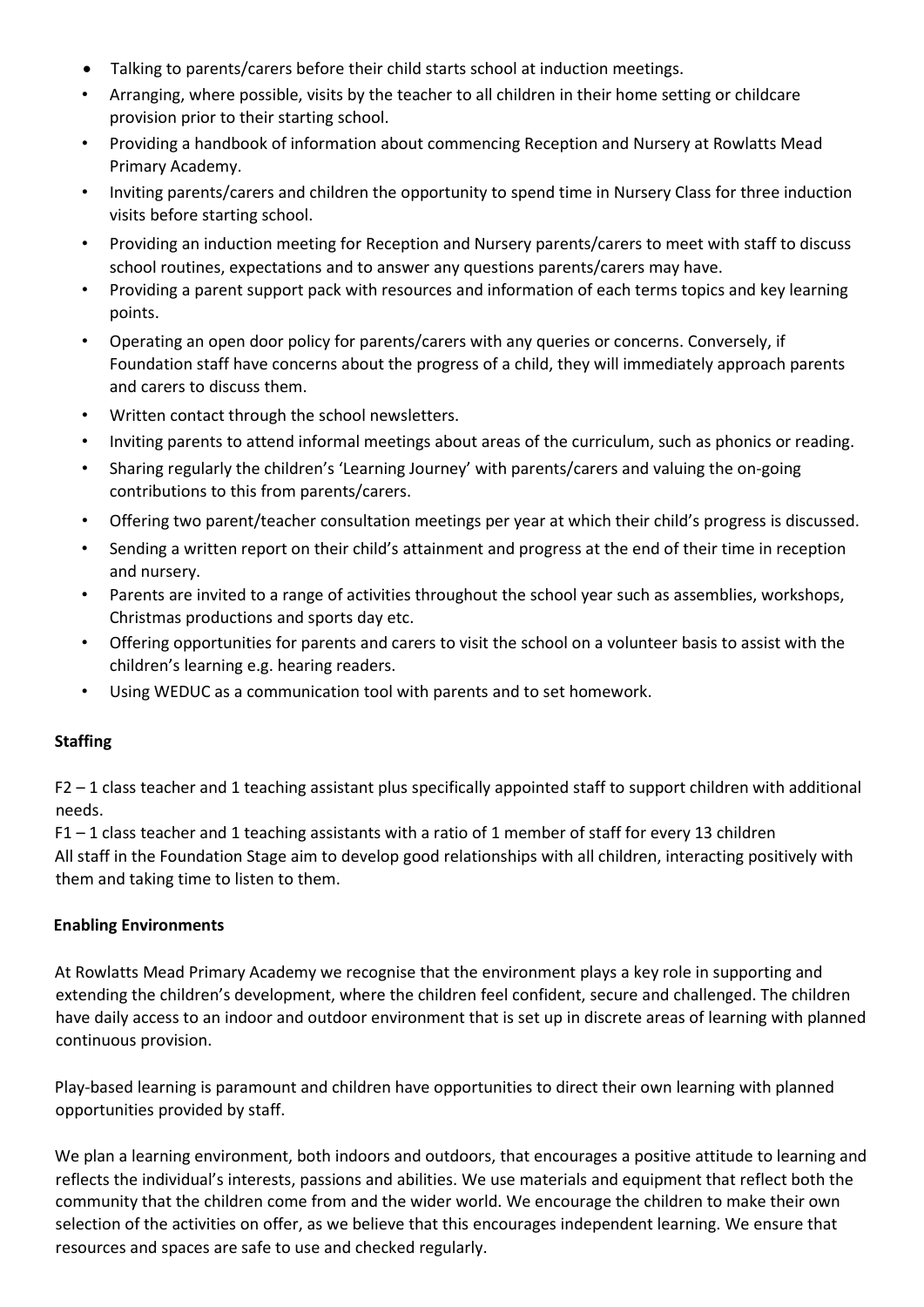- Talking to parents/carers before their child starts school at induction meetings.
- Arranging, where possible, visits by the teacher to all children in their home setting or childcare provision prior to their starting school.
- Providing a handbook of information about commencing Reception and Nursery at Rowlatts Mead Primary Academy.
- Inviting parents/carers and children the opportunity to spend time in Nursery Class for three induction visits before starting school.
- Providing an induction meeting for Reception and Nursery parents/carers to meet with staff to discuss school routines, expectations and to answer any questions parents/carers may have.
- Providing a parent support pack with resources and information of each terms topics and key learning points.
- Operating an open door policy for parents/carers with any queries or concerns. Conversely, if Foundation staff have concerns about the progress of a child, they will immediately approach parents and carers to discuss them.
- Written contact through the school newsletters.
- Inviting parents to attend informal meetings about areas of the curriculum, such as phonics or reading.
- Sharing regularly the children's 'Learning Journey' with parents/carers and valuing the on-going contributions to this from parents/carers.
- Offering two parent/teacher consultation meetings per year at which their child's progress is discussed.
- Sending a written report on their child's attainment and progress at the end of their time in reception and nursery.
- Parents are invited to a range of activities throughout the school year such as assemblies, workshops, Christmas productions and sports day etc.
- Offering opportunities for parents and carers to visit the school on a volunteer basis to assist with the children's learning e.g. hearing readers.
- Using WEDUC as a communication tool with parents and to set homework.

#### **Staffing**

F2 – 1 class teacher and 1 teaching assistant plus specifically appointed staff to support children with additional needs.

F1 – 1 class teacher and 1 teaching assistants with a ratio of 1 member of staff for every 13 children All staff in the Foundation Stage aim to develop good relationships with all children, interacting positively with them and taking time to listen to them.

#### **Enabling Environments**

At Rowlatts Mead Primary Academy we recognise that the environment plays a key role in supporting and extending the children's development, where the children feel confident, secure and challenged. The children have daily access to an indoor and outdoor environment that is set up in discrete areas of learning with planned continuous provision.

Play-based learning is paramount and children have opportunities to direct their own learning with planned opportunities provided by staff.

We plan a learning environment, both indoors and outdoors, that encourages a positive attitude to learning and reflects the individual's interests, passions and abilities. We use materials and equipment that reflect both the community that the children come from and the wider world. We encourage the children to make their own selection of the activities on offer, as we believe that this encourages independent learning. We ensure that resources and spaces are safe to use and checked regularly.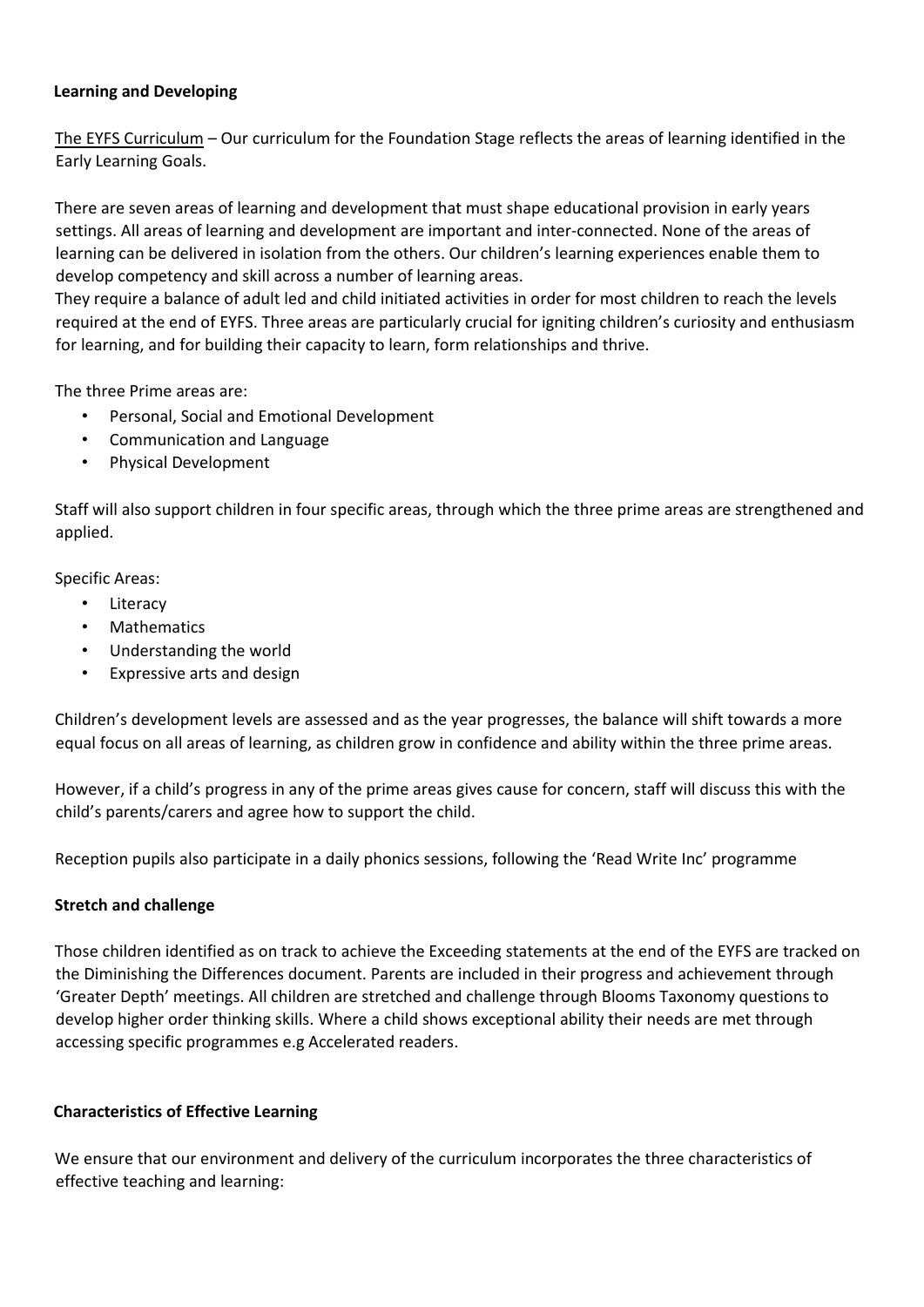### **Learning and Developing**

The EYFS Curriculum – Our curriculum for the Foundation Stage reflects the areas of learning identified in the Early Learning Goals.

There are seven areas of learning and development that must shape educational provision in early years settings. All areas of learning and development are important and inter-connected. None of the areas of learning can be delivered in isolation from the others. Our children's learning experiences enable them to develop competency and skill across a number of learning areas.

They require a balance of adult led and child initiated activities in order for most children to reach the levels required at the end of EYFS. Three areas are particularly crucial for igniting children's curiosity and enthusiasm for learning, and for building their capacity to learn, form relationships and thrive.

The three Prime areas are:

- Personal, Social and Emotional Development
- Communication and Language
- Physical Development

Staff will also support children in four specific areas, through which the three prime areas are strengthened and applied.

Specific Areas:

- Literacy
- **Mathematics**
- Understanding the world
- Expressive arts and design

Children's development levels are assessed and as the year progresses, the balance will shift towards a more equal focus on all areas of learning, as children grow in confidence and ability within the three prime areas.

However, if a child's progress in any of the prime areas gives cause for concern, staff will discuss this with the child's parents/carers and agree how to support the child.

Reception pupils also participate in a daily phonics sessions, following the 'Read Write Inc' programme

#### **Stretch and challenge**

Those children identified as on track to achieve the Exceeding statements at the end of the EYFS are tracked on the Diminishing the Differences document. Parents are included in their progress and achievement through 'Greater Depth' meetings. All children are stretched and challenge through Blooms Taxonomy questions to develop higher order thinking skills. Where a child shows exceptional ability their needs are met through accessing specific programmes e.g Accelerated readers.

#### **Characteristics of Effective Learning**

We ensure that our environment and delivery of the curriculum incorporates the three characteristics of effective teaching and learning: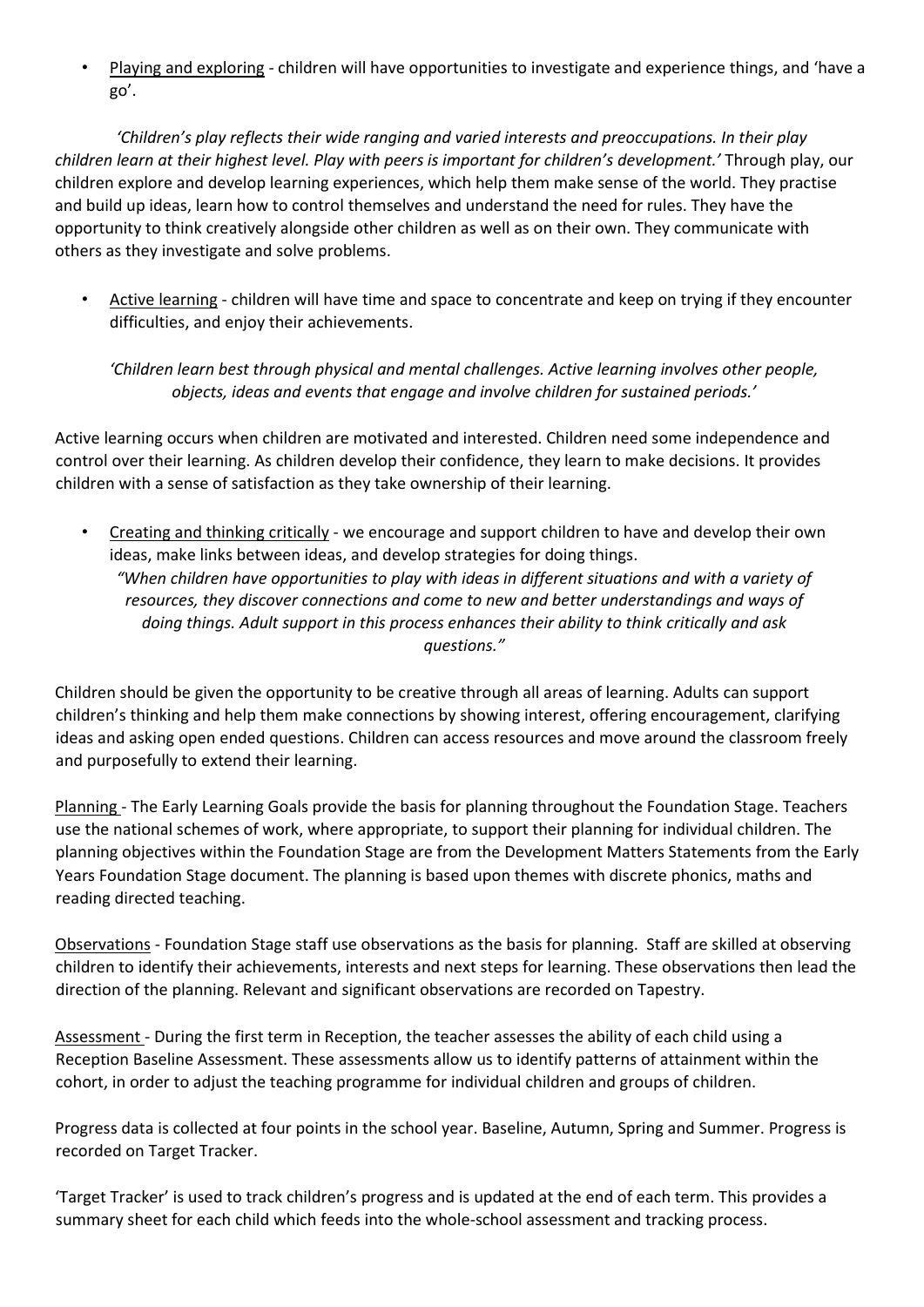• Playing and exploring - children will have opportunities to investigate and experience things, and 'have a go'.

*'Children's play reflects their wide ranging and varied interests and preoccupations. In their play children learn at their highest level. Play with peers is important for children's development.'* Through play, our children explore and develop learning experiences, which help them make sense of the world. They practise and build up ideas, learn how to control themselves and understand the need for rules. They have the opportunity to think creatively alongside other children as well as on their own. They communicate with others as they investigate and solve problems.

• Active learning - children will have time and space to concentrate and keep on trying if they encounter difficulties, and enjoy their achievements.

*'Children learn best through physical and mental challenges. Active learning involves other people, objects, ideas and events that engage and involve children for sustained periods.'* 

Active learning occurs when children are motivated and interested. Children need some independence and control over their learning. As children develop their confidence, they learn to make decisions. It provides children with a sense of satisfaction as they take ownership of their learning.

• Creating and thinking critically - we encourage and support children to have and develop their own ideas, make links between ideas, and develop strategies for doing things. *"When children have opportunities to play with ideas in different situations and with a variety of resources, they discover connections and come to new and better understandings and ways of doing things. Adult support in this process enhances their ability to think critically and ask questions."* 

Children should be given the opportunity to be creative through all areas of learning. Adults can support children's thinking and help them make connections by showing interest, offering encouragement, clarifying ideas and asking open ended questions. Children can access resources and move around the classroom freely and purposefully to extend their learning.

Planning - The Early Learning Goals provide the basis for planning throughout the Foundation Stage. Teachers use the national schemes of work, where appropriate, to support their planning for individual children. The planning objectives within the Foundation Stage are from the Development Matters Statements from the Early Years Foundation Stage document. The planning is based upon themes with discrete phonics, maths and reading directed teaching.

Observations - Foundation Stage staff use observations as the basis for planning. Staff are skilled at observing children to identify their achievements, interests and next steps for learning. These observations then lead the direction of the planning. Relevant and significant observations are recorded on Tapestry.

Assessment - During the first term in Reception, the teacher assesses the ability of each child using a Reception Baseline Assessment. These assessments allow us to identify patterns of attainment within the cohort, in order to adjust the teaching programme for individual children and groups of children.

Progress data is collected at four points in the school year. Baseline, Autumn, Spring and Summer. Progress is recorded on Target Tracker.

'Target Tracker' is used to track children's progress and is updated at the end of each term. This provides a summary sheet for each child which feeds into the whole-school assessment and tracking process.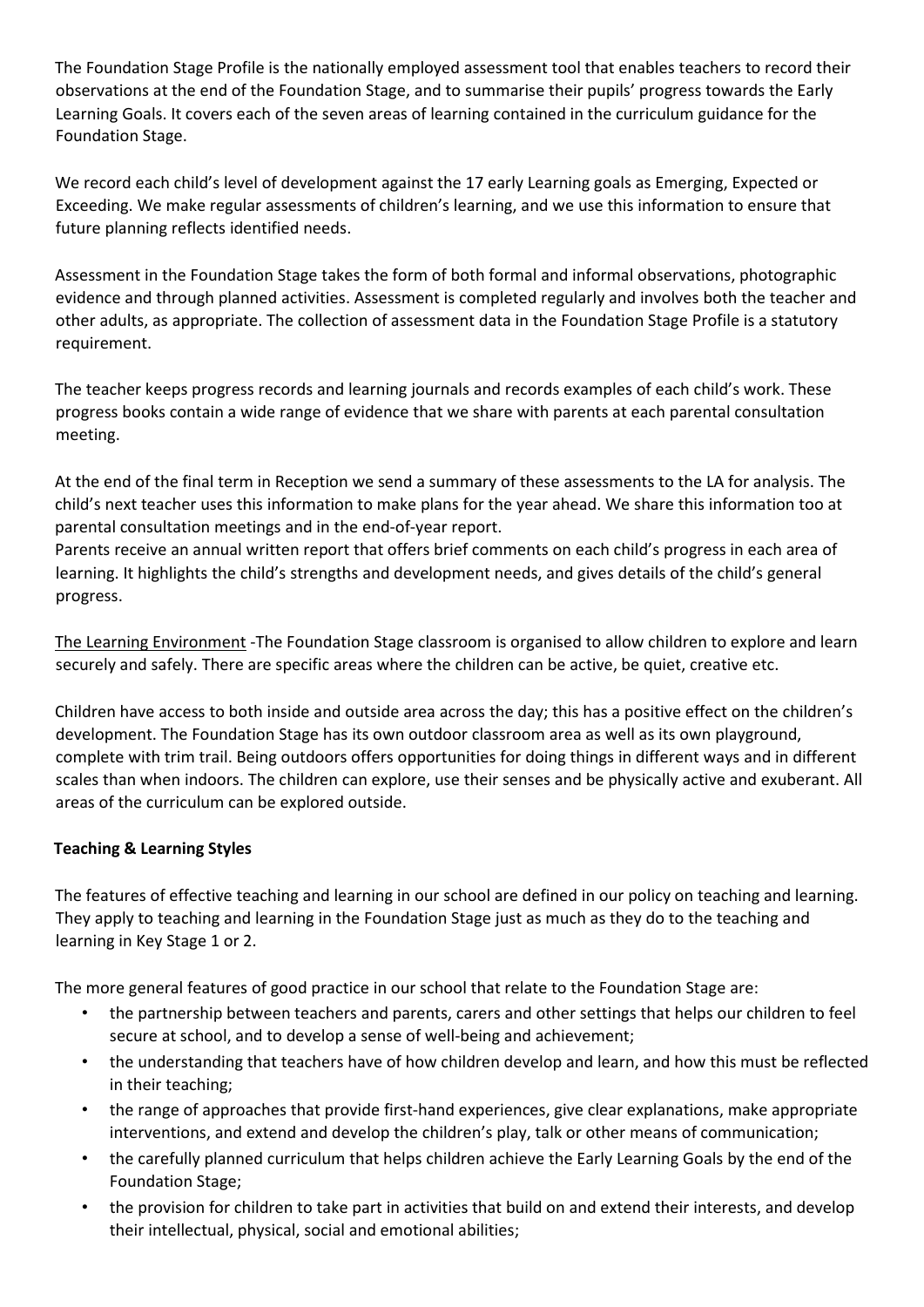The Foundation Stage Profile is the nationally employed assessment tool that enables teachers to record their observations at the end of the Foundation Stage, and to summarise their pupils' progress towards the Early Learning Goals. It covers each of the seven areas of learning contained in the curriculum guidance for the Foundation Stage.

We record each child's level of development against the 17 early Learning goals as Emerging, Expected or Exceeding. We make regular assessments of children's learning, and we use this information to ensure that future planning reflects identified needs.

Assessment in the Foundation Stage takes the form of both formal and informal observations, photographic evidence and through planned activities. Assessment is completed regularly and involves both the teacher and other adults, as appropriate. The collection of assessment data in the Foundation Stage Profile is a statutory requirement.

The teacher keeps progress records and learning journals and records examples of each child's work. These progress books contain a wide range of evidence that we share with parents at each parental consultation meeting.

At the end of the final term in Reception we send a summary of these assessments to the LA for analysis. The child's next teacher uses this information to make plans for the year ahead. We share this information too at parental consultation meetings and in the end-of-year report.

Parents receive an annual written report that offers brief comments on each child's progress in each area of learning. It highlights the child's strengths and development needs, and gives details of the child's general progress.

The Learning Environment -The Foundation Stage classroom is organised to allow children to explore and learn securely and safely. There are specific areas where the children can be active, be quiet, creative etc.

Children have access to both inside and outside area across the day; this has a positive effect on the children's development. The Foundation Stage has its own outdoor classroom area as well as its own playground, complete with trim trail. Being outdoors offers opportunities for doing things in different ways and in different scales than when indoors. The children can explore, use their senses and be physically active and exuberant. All areas of the curriculum can be explored outside.

# **Teaching & Learning Styles**

The features of effective teaching and learning in our school are defined in our policy on teaching and learning. They apply to teaching and learning in the Foundation Stage just as much as they do to the teaching and learning in Key Stage 1 or 2.

The more general features of good practice in our school that relate to the Foundation Stage are:

- the partnership between teachers and parents, carers and other settings that helps our children to feel secure at school, and to develop a sense of well-being and achievement;
- the understanding that teachers have of how children develop and learn, and how this must be reflected in their teaching;
- the range of approaches that provide first-hand experiences, give clear explanations, make appropriate interventions, and extend and develop the children's play, talk or other means of communication;
- the carefully planned curriculum that helps children achieve the Early Learning Goals by the end of the Foundation Stage;
- the provision for children to take part in activities that build on and extend their interests, and develop their intellectual, physical, social and emotional abilities;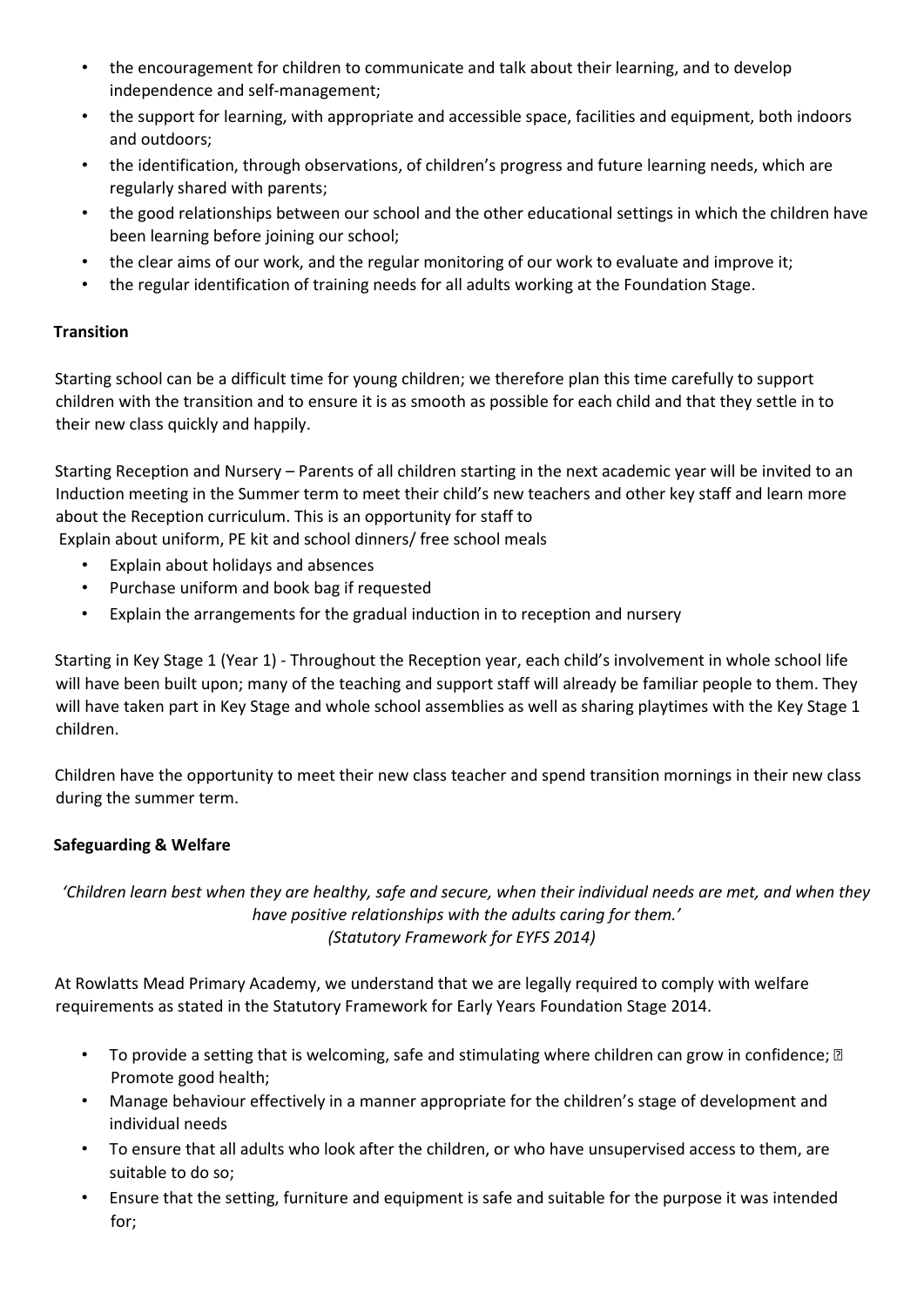- the encouragement for children to communicate and talk about their learning, and to develop independence and self-management;
- the support for learning, with appropriate and accessible space, facilities and equipment, both indoors and outdoors;
- the identification, through observations, of children's progress and future learning needs, which are regularly shared with parents;
- the good relationships between our school and the other educational settings in which the children have been learning before joining our school;
- the clear aims of our work, and the regular monitoring of our work to evaluate and improve it;
- the regular identification of training needs for all adults working at the Foundation Stage.

# **Transition**

Starting school can be a difficult time for young children; we therefore plan this time carefully to support children with the transition and to ensure it is as smooth as possible for each child and that they settle in to their new class quickly and happily.

Starting Reception and Nursery – Parents of all children starting in the next academic year will be invited to an Induction meeting in the Summer term to meet their child's new teachers and other key staff and learn more about the Reception curriculum. This is an opportunity for staff to

- Explain about uniform, PE kit and school dinners/ free school meals
	- Explain about holidays and absences
	- Purchase uniform and book bag if requested
	- Explain the arrangements for the gradual induction in to reception and nursery

Starting in Key Stage 1 (Year 1) - Throughout the Reception year, each child's involvement in whole school life will have been built upon; many of the teaching and support staff will already be familiar people to them. They will have taken part in Key Stage and whole school assemblies as well as sharing playtimes with the Key Stage 1 children.

Children have the opportunity to meet their new class teacher and spend transition mornings in their new class during the summer term.

# **Safeguarding & Welfare**

*'Children learn best when they are healthy, safe and secure, when their individual needs are met, and when they have positive relationships with the adults caring for them.' (Statutory Framework for EYFS 2014)* 

At Rowlatts Mead Primary Academy, we understand that we are legally required to comply with welfare requirements as stated in the Statutory Framework for Early Years Foundation Stage 2014.

- To provide a setting that is welcoming, safe and stimulating where children can grow in confidence;  $\mathbb D$ Promote good health;
- Manage behaviour effectively in a manner appropriate for the children's stage of development and individual needs
- To ensure that all adults who look after the children, or who have unsupervised access to them, are suitable to do so;
- Ensure that the setting, furniture and equipment is safe and suitable for the purpose it was intended for;